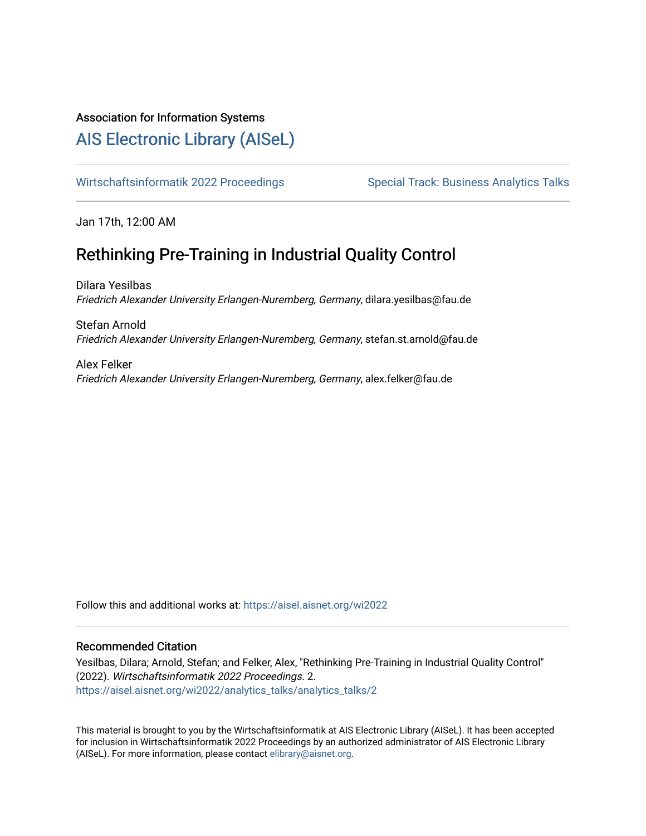## Association for Information Systems

# [AIS Electronic Library \(AISeL\)](https://aisel.aisnet.org/)

[Wirtschaftsinformatik 2022 Proceedings](https://aisel.aisnet.org/wi2022) Special Track: Business Analytics Talks

Jan 17th, 12:00 AM

# Rethinking Pre-Training in Industrial Quality Control

Dilara Yesilbas Friedrich Alexander University Erlangen-Nuremberg, Germany, dilara.yesilbas@fau.de

Stefan Arnold Friedrich Alexander University Erlangen-Nuremberg, Germany, stefan.st.arnold@fau.de

Alex Felker Friedrich Alexander University Erlangen-Nuremberg, Germany, alex.felker@fau.de

Follow this and additional works at: [https://aisel.aisnet.org/wi2022](https://aisel.aisnet.org/wi2022?utm_source=aisel.aisnet.org%2Fwi2022%2Fanalytics_talks%2Fanalytics_talks%2F2&utm_medium=PDF&utm_campaign=PDFCoverPages) 

## Recommended Citation

Yesilbas, Dilara; Arnold, Stefan; and Felker, Alex, "Rethinking Pre-Training in Industrial Quality Control" (2022). Wirtschaftsinformatik 2022 Proceedings. 2. [https://aisel.aisnet.org/wi2022/analytics\\_talks/analytics\\_talks/2](https://aisel.aisnet.org/wi2022/analytics_talks/analytics_talks/2?utm_source=aisel.aisnet.org%2Fwi2022%2Fanalytics_talks%2Fanalytics_talks%2F2&utm_medium=PDF&utm_campaign=PDFCoverPages) 

This material is brought to you by the Wirtschaftsinformatik at AIS Electronic Library (AISeL). It has been accepted for inclusion in Wirtschaftsinformatik 2022 Proceedings by an authorized administrator of AIS Electronic Library (AISeL). For more information, please contact [elibrary@aisnet.org](mailto:elibrary@aisnet.org%3E).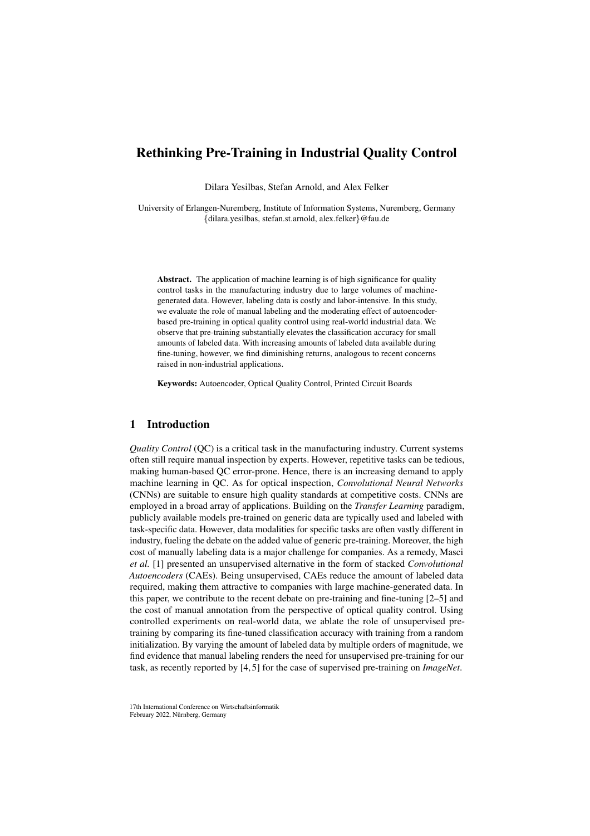## Rethinking Pre-Training in Industrial Quality Control

Dilara Yesilbas, Stefan Arnold, and Alex Felker

University of Erlangen-Nuremberg, Institute of Information Systems, Nuremberg, Germany *{*dilara.yesilbas, stefan.st.arnold, alex.felker*}*@fau.de

Abstract. The application of machine learning is of high significance for quality control tasks in the manufacturing industry due to large volumes of machinegenerated data. However, labeling data is costly and labor-intensive. In this study, we evaluate the role of manual labeling and the moderating effect of autoencoderbased pre-training in optical quality control using real-world industrial data. We observe that pre-training substantially elevates the classification accuracy for small amounts of labeled data. With increasing amounts of labeled data available during fine-tuning, however, we find diminishing returns, analogous to recent concerns raised in non-industrial applications.

Keywords: Autoencoder, Optical Quality Control, Printed Circuit Boards

## 1 Introduction

*Quality Control* (QC) is a critical task in the manufacturing industry. Current systems often still require manual inspection by experts. However, repetitive tasks can be tedious, making human-based QC error-prone. Hence, there is an increasing demand to apply machine learning in QC. As for optical inspection, *Convolutional Neural Networks* (CNNs) are suitable to ensure high quality standards at competitive costs. CNNs are employed in a broad array of applications. Building on the *Transfer Learning* paradigm, publicly available models pre-trained on generic data are typically used and labeled with task-specific data. However, data modalities for specific tasks are often vastly different in industry, fueling the debate on the added value of generic pre-training. Moreover, the high cost of manually labeling data is a major challenge for companies. As a remedy, Masci *et al.* [1] presented an unsupervised alternative in the form of stacked *Convolutional Autoencoders* (CAEs). Being unsupervised, CAEs reduce the amount of labeled data required, making them attractive to companies with large machine-generated data. In this paper, we contribute to the recent debate on pre-training and fine-tuning [2–5] and the cost of manual annotation from the perspective of optical quality control. Using controlled experiments on real-world data, we ablate the role of unsupervised pretraining by comparing its fine-tuned classification accuracy with training from a random initialization. By varying the amount of labeled data by multiple orders of magnitude, we find evidence that manual labeling renders the need for unsupervised pre-training for our task, as recently reported by [4, 5] for the case of supervised pre-training on *ImageNet*.

17th International Conference on Wirtschaftsinformatik February 2022, Nürnberg, Germany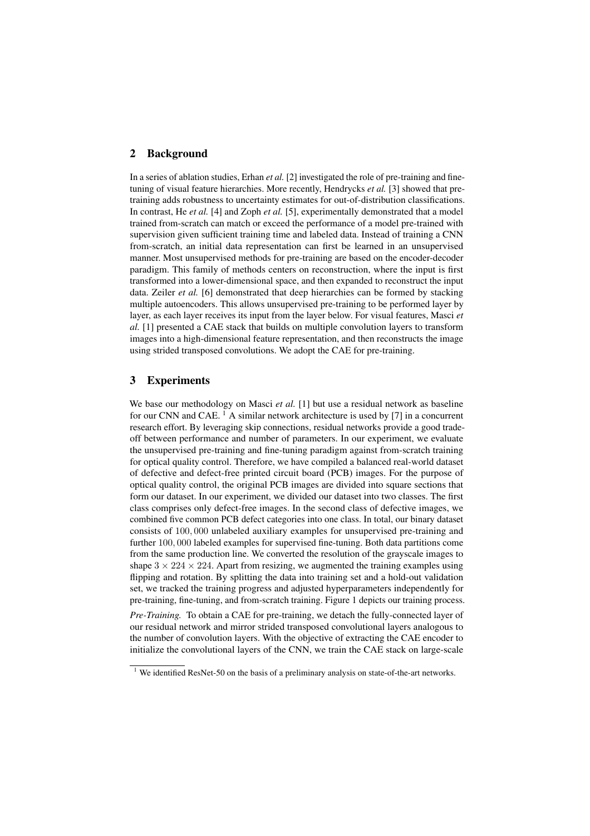#### 2 Background

In a series of ablation studies, Erhan *et al.* [2] investigated the role of pre-training and finetuning of visual feature hierarchies. More recently, Hendrycks *et al.* [3] showed that pretraining adds robustness to uncertainty estimates for out-of-distribution classifications. In contrast, He *et al.* [4] and Zoph *et al.* [5], experimentally demonstrated that a model trained from-scratch can match or exceed the performance of a model pre-trained with supervision given sufficient training time and labeled data. Instead of training a CNN from-scratch, an initial data representation can first be learned in an unsupervised manner. Most unsupervised methods for pre-training are based on the encoder-decoder paradigm. This family of methods centers on reconstruction, where the input is first transformed into a lower-dimensional space, and then expanded to reconstruct the input data. Zeiler *et al.* [6] demonstrated that deep hierarchies can be formed by stacking multiple autoencoders. This allows unsupervised pre-training to be performed layer by layer, as each layer receives its input from the layer below. For visual features, Masci *et al.* [1] presented a CAE stack that builds on multiple convolution layers to transform images into a high-dimensional feature representation, and then reconstructs the image using strided transposed convolutions. We adopt the CAE for pre-training.

### 3 Experiments

We base our methodology on Masci et al. [1] but use a residual network as baseline for our CNN and CAE.<sup>1</sup> A similar network architecture is used by [7] in a concurrent research effort. By leveraging skip connections, residual networks provide a good tradeoff between performance and number of parameters. In our experiment, we evaluate the unsupervised pre-training and fine-tuning paradigm against from-scratch training for optical quality control. Therefore, we have compiled a balanced real-world dataset of defective and defect-free printed circuit board (PCB) images. For the purpose of optical quality control, the original PCB images are divided into square sections that form our dataset. In our experiment, we divided our dataset into two classes. The first class comprises only defect-free images. In the second class of defective images, we combined five common PCB defect categories into one class. In total, our binary dataset consists of 100*,* 000 unlabeled auxiliary examples for unsupervised pre-training and further 100*,* 000 labeled examples for supervised fine-tuning. Both data partitions come from the same production line. We converted the resolution of the grayscale images to shape  $3 \times 224 \times 224$ . Apart from resizing, we augmented the training examples using flipping and rotation. By splitting the data into training set and a hold-out validation set, we tracked the training progress and adjusted hyperparameters independently for pre-training, fine-tuning, and from-scratch training. Figure 1 depicts our training process.

*Pre-Training.* To obtain a CAE for pre-training, we detach the fully-connected layer of our residual network and mirror strided transposed convolutional layers analogous to the number of convolution layers. With the objective of extracting the CAE encoder to initialize the convolutional layers of the CNN, we train the CAE stack on large-scale

 $1$  We identified ResNet-50 on the basis of a preliminary analysis on state-of-the-art networks.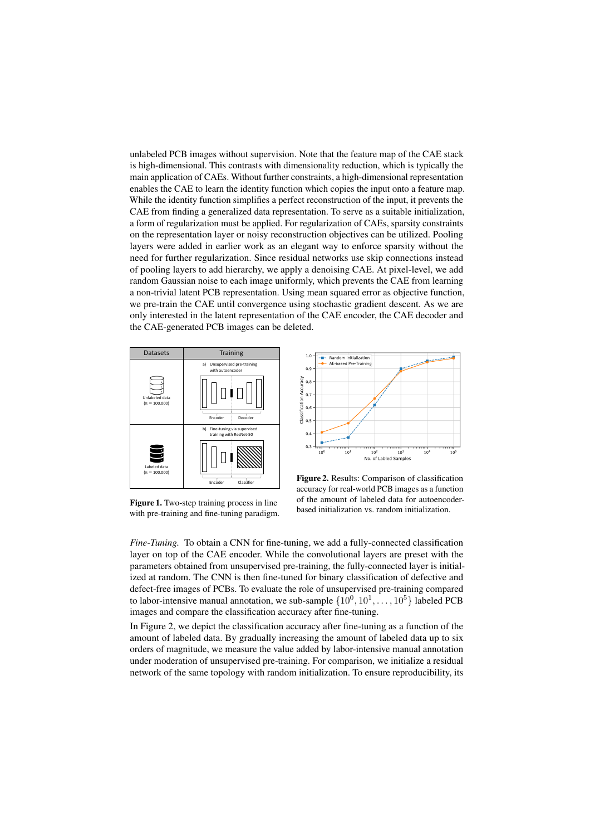unlabeled PCB images without supervision. Note that the feature map of the CAE stack is high-dimensional. This contrasts with dimensionality reduction, which is typically the main application of CAEs. Without further constraints, a high-dimensional representation enables the CAE to learn the identity function which copies the input onto a feature map. While the identity function simplifies a perfect reconstruction of the input, it prevents the CAE from finding a generalized data representation. To serve as a suitable initialization, a form of regularization must be applied. For regularization of CAEs, sparsity constraints on the representation layer or noisy reconstruction objectives can be utilized. Pooling layers were added in earlier work as an elegant way to enforce sparsity without the need for further regularization. Since residual networks use skip connections instead of pooling layers to add hierarchy, we apply a denoising CAE. At pixel-level, we add random Gaussian noise to each image uniformly, which prevents the CAE from learning a non-trivial latent PCB representation. Using mean squared error as objective function, we pre-train the CAE until convergence using stochastic gradient descent. As we are only interested in the latent representation of the CAE encoder, the CAE decoder and the CAE-generated PCB images can be deleted.





Figure 1. Two-step training process in line with pre-training and fine-tuning paradigm.

Figure 2. Results: Comparison of classification accuracy for real-world PCB images as a function of the amount of labeled data for autoencoderbased initialization vs. random initialization.

*Fine-Tuning.* To obtain a CNN for fine-tuning, we add a fully-connected classification layer on top of the CAE encoder. While the convolutional layers are preset with the parameters obtained from unsupervised pre-training, the fully-connected layer is initialized at random. The CNN is then fine-tuned for binary classification of defective and defect-free images of PCBs. To evaluate the role of unsupervised pre-training compared to labor-intensive manual annotation, we sub-sample  $\{10^0, 10^1, \ldots, 10^5\}$  labeled PCB images and compare the classification accuracy after fine-tuning.

In Figure 2, we depict the classification accuracy after fine-tuning as a function of the amount of labeled data. By gradually increasing the amount of labeled data up to six orders of magnitude, we measure the value added by labor-intensive manual annotation under moderation of unsupervised pre-training. For comparison, we initialize a residual network of the same topology with random initialization. To ensure reproducibility, its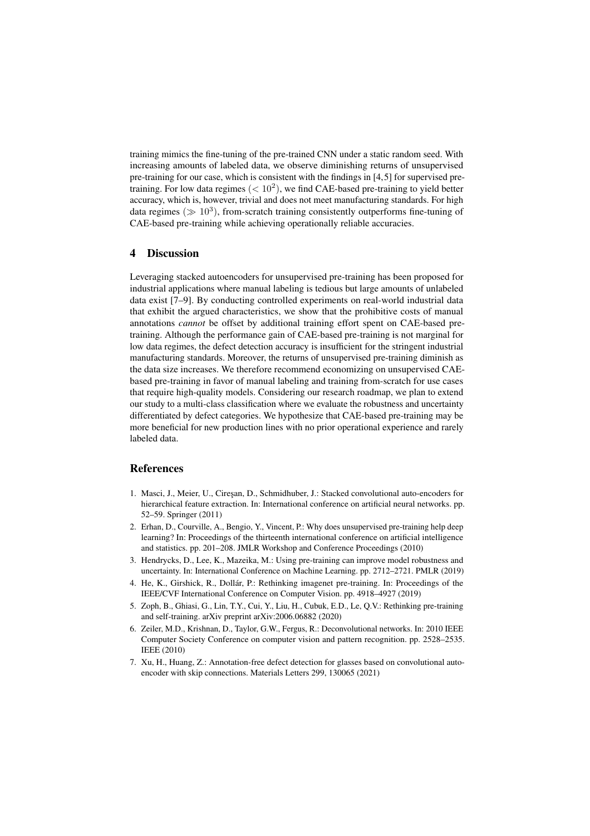training mimics the fine-tuning of the pre-trained CNN under a static random seed. With increasing amounts of labeled data, we observe diminishing returns of unsupervised pre-training for our case, which is consistent with the findings in [4,5] for supervised pretraining. For low data regimes  $(< 10<sup>2</sup>)$ , we find CAE-based pre-training to yield better accuracy, which is, however, trivial and does not meet manufacturing standards. For high data regimes ( $\gg 10^3$ ), from-scratch training consistently outperforms fine-tuning of CAE-based pre-training while achieving operationally reliable accuracies.

### 4 Discussion

Leveraging stacked autoencoders for unsupervised pre-training has been proposed for industrial applications where manual labeling is tedious but large amounts of unlabeled data exist [7–9]. By conducting controlled experiments on real-world industrial data that exhibit the argued characteristics, we show that the prohibitive costs of manual annotations *cannot* be offset by additional training effort spent on CAE-based pretraining. Although the performance gain of CAE-based pre-training is not marginal for low data regimes, the defect detection accuracy is insufficient for the stringent industrial manufacturing standards. Moreover, the returns of unsupervised pre-training diminish as the data size increases. We therefore recommend economizing on unsupervised CAEbased pre-training in favor of manual labeling and training from-scratch for use cases that require high-quality models. Considering our research roadmap, we plan to extend our study to a multi-class classification where we evaluate the robustness and uncertainty differentiated by defect categories. We hypothesize that CAE-based pre-training may be more beneficial for new production lines with no prior operational experience and rarely labeled data.

### **References**

- 1. Masci, J., Meier, U., Cireşan, D., Schmidhuber, J.: Stacked convolutional auto-encoders for hierarchical feature extraction. In: International conference on artificial neural networks. pp. 52–59. Springer (2011)
- 2. Erhan, D., Courville, A., Bengio, Y., Vincent, P.: Why does unsupervised pre-training help deep learning? In: Proceedings of the thirteenth international conference on artificial intelligence and statistics. pp. 201–208. JMLR Workshop and Conference Proceedings (2010)
- 3. Hendrycks, D., Lee, K., Mazeika, M.: Using pre-training can improve model robustness and uncertainty. In: International Conference on Machine Learning. pp. 2712–2721. PMLR (2019)
- 4. He, K., Girshick, R., Dollár, P.: Rethinking imagenet pre-training. In: Proceedings of the IEEE/CVF International Conference on Computer Vision. pp. 4918–4927 (2019)
- 5. Zoph, B., Ghiasi, G., Lin, T.Y., Cui, Y., Liu, H., Cubuk, E.D., Le, Q.V.: Rethinking pre-training and self-training. arXiv preprint arXiv:2006.06882 (2020)
- 6. Zeiler, M.D., Krishnan, D., Taylor, G.W., Fergus, R.: Deconvolutional networks. In: 2010 IEEE Computer Society Conference on computer vision and pattern recognition. pp. 2528–2535. IEEE (2010)
- 7. Xu, H., Huang, Z.: Annotation-free defect detection for glasses based on convolutional autoencoder with skip connections. Materials Letters 299, 130065 (2021)